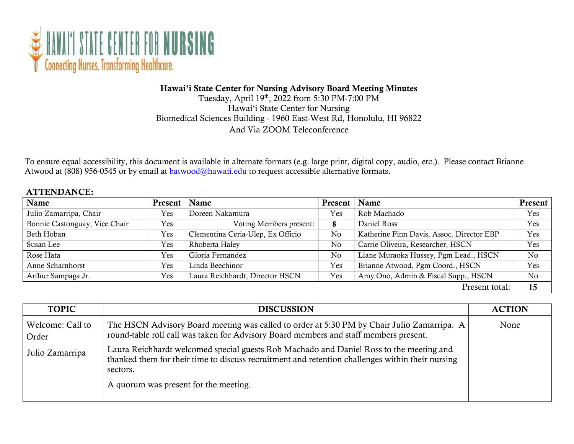

## Hawai'i State Center for Nursing Advisory Board Meeting Minutes

Tuesday, April 19th, 2022 from 5:30 PM-7:00 PM Hawai'i State Center for Nursing Biomedical Sciences Building - 1960 East-West Rd, Honolulu, HI 96822 And Via ZOOM Teleconference

To ensure equal accessibility, this document is available in alternate formats (e.g. large print, digital copy, audio, etc.). Please contact Brianne Atwood at (808) 956-0545 or by email at [batwood@hawaii.edu t](mailto:batwood@hawaii.edu)o request accessible alternative formats.

## ATTENDANCE:

| Name                          | Present   Name |                                   | Present   Name |                                           | Present |
|-------------------------------|----------------|-----------------------------------|----------------|-------------------------------------------|---------|
| Julio Zamarripa, Chair        | Yes            | Doreen Nakamura                   | Yes            | Rob Machado                               | Yes     |
| Bonnie Castonguay, Vice Chair | Yes            | Voting Members present:           | 8              | Daniel Ross                               | Yes     |
| Beth Hoban                    | Yes            | Clementina Ceria-Ulep, Ex Officio | No             | Katherine Finn Davis, Assoc. Director EBP | Yes     |
| Susan Lee                     | Yes            | Rhoberta Haley                    | No             | Carrie Oliveira, Researcher, HSCN         | Yes     |
| Rose Hata                     | Yes            | Gloria Fernandez                  | No             | Liane Muraoka Hussey, Pgm Lead., HSCN     | No      |
| Anne Scharnhorst              | Yes            | Linda Beechinor                   | Yes            | Brianne Atwood, Pgm Coord., HSCN          | Yes     |
| Arthur Sampaga Jr.            | Yes            | Laura Reichhardt, Director HSCN   | Yes            | Amy Ono, Admin & Fiscal Supp., HSCN       | No.     |
|                               |                |                                   |                | Present total:                            | 15      |

| <b>TOPIC</b>              | <b>DISCUSSION</b>                                                                                                                                                                                                                                | <b>ACTION</b> |
|---------------------------|--------------------------------------------------------------------------------------------------------------------------------------------------------------------------------------------------------------------------------------------------|---------------|
| Welcome: Call to<br>Order | The HSCN Advisory Board meeting was called to order at 5:30 PM by Chair Julio Zamarripa. A<br>round-table roll call was taken for Advisory Board members and staff members present.                                                              | None          |
| Julio Zamarripa           | Laura Reichhardt welcomed special guests Rob Machado and Daniel Ross to the meeting and<br>thanked them for their time to discuss recruitment and retention challenges within their nursing<br>sectors.<br>A quorum was present for the meeting. |               |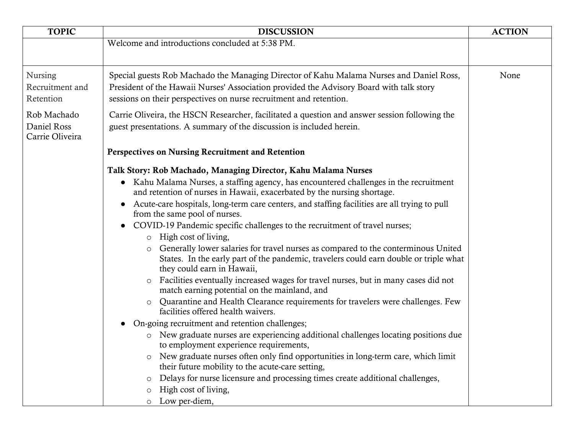| <b>TOPIC</b>                                   | <b>DISCUSSION</b>                                                                                                                                                                                                                                        | <b>ACTION</b> |
|------------------------------------------------|----------------------------------------------------------------------------------------------------------------------------------------------------------------------------------------------------------------------------------------------------------|---------------|
|                                                | Welcome and introductions concluded at 5:38 PM.                                                                                                                                                                                                          |               |
| <b>Nursing</b><br>Recruitment and<br>Retention | Special guests Rob Machado the Managing Director of Kahu Malama Nurses and Daniel Ross,<br>President of the Hawaii Nurses' Association provided the Advisory Board with talk story<br>sessions on their perspectives on nurse recruitment and retention. | None          |
| Rob Machado<br>Daniel Ross<br>Carrie Oliveira  | Carrie Oliveira, the HSCN Researcher, facilitated a question and answer session following the<br>guest presentations. A summary of the discussion is included herein.                                                                                    |               |
|                                                | Perspectives on Nursing Recruitment and Retention                                                                                                                                                                                                        |               |
|                                                | Talk Story: Rob Machado, Managing Director, Kahu Malama Nurses                                                                                                                                                                                           |               |
|                                                | • Kahu Malama Nurses, a staffing agency, has encountered challenges in the recruitment<br>and retention of nurses in Hawaii, exacerbated by the nursing shortage.                                                                                        |               |
|                                                | Acute-care hospitals, long-term care centers, and staffing facilities are all trying to pull<br>from the same pool of nurses.                                                                                                                            |               |
|                                                | COVID-19 Pandemic specific challenges to the recruitment of travel nurses;                                                                                                                                                                               |               |
|                                                | $\circ$ High cost of living,<br>Generally lower salaries for travel nurses as compared to the conterminous United<br>$\circ$<br>States. In the early part of the pandemic, travelers could earn double or triple what<br>they could earn in Hawaii,      |               |
|                                                | Facilities eventually increased wages for travel nurses, but in many cases did not<br>$\circ$<br>match earning potential on the mainland, and                                                                                                            |               |
|                                                | Quarantine and Health Clearance requirements for travelers were challenges. Few<br>$\circ$<br>facilities offered health waivers.                                                                                                                         |               |
|                                                | On-going recruitment and retention challenges;                                                                                                                                                                                                           |               |
|                                                | New graduate nurses are experiencing additional challenges locating positions due<br>$\circ$<br>to employment experience requirements,                                                                                                                   |               |
|                                                | New graduate nurses often only find opportunities in long-term care, which limit<br>$\circ$<br>their future mobility to the acute-care setting,                                                                                                          |               |
|                                                | Delays for nurse licensure and processing times create additional challenges,<br>$\circ$                                                                                                                                                                 |               |
|                                                | High cost of living,<br>$\circ$                                                                                                                                                                                                                          |               |
|                                                | Low per-diem,                                                                                                                                                                                                                                            |               |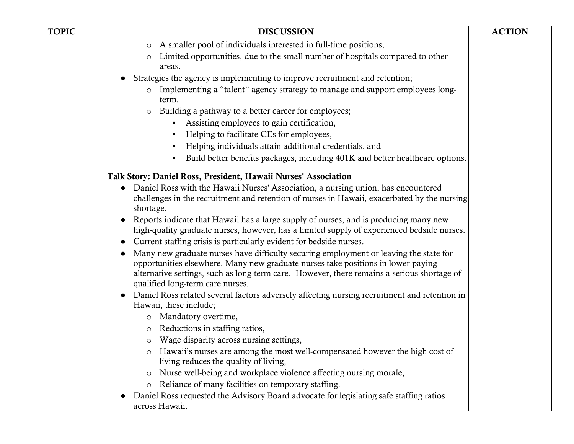| <b>TOPIC</b> | <b>DISCUSSION</b>                                                                                                                                                                                                                                                                                           | <b>ACTION</b> |
|--------------|-------------------------------------------------------------------------------------------------------------------------------------------------------------------------------------------------------------------------------------------------------------------------------------------------------------|---------------|
|              | A smaller pool of individuals interested in full-time positions,<br>$\circ$                                                                                                                                                                                                                                 |               |
|              | Limited opportunities, due to the small number of hospitals compared to other                                                                                                                                                                                                                               |               |
|              | areas.                                                                                                                                                                                                                                                                                                      |               |
|              | Strategies the agency is implementing to improve recruitment and retention;                                                                                                                                                                                                                                 |               |
|              | Implementing a "talent" agency strategy to manage and support employees long-<br>$\circ$<br>term.                                                                                                                                                                                                           |               |
|              | Building a pathway to a better career for employees;<br>$\circ$                                                                                                                                                                                                                                             |               |
|              | Assisting employees to gain certification,<br>$\blacksquare$                                                                                                                                                                                                                                                |               |
|              | Helping to facilitate CEs for employees,                                                                                                                                                                                                                                                                    |               |
|              | Helping individuals attain additional credentials, and                                                                                                                                                                                                                                                      |               |
|              | Build better benefits packages, including 401K and better healthcare options.<br>$\blacksquare$                                                                                                                                                                                                             |               |
|              | Talk Story: Daniel Ross, President, Hawaii Nurses' Association                                                                                                                                                                                                                                              |               |
|              | Daniel Ross with the Hawaii Nurses' Association, a nursing union, has encountered<br>challenges in the recruitment and retention of nurses in Hawaii, exacerbated by the nursing<br>shortage.                                                                                                               |               |
|              | Reports indicate that Hawaii has a large supply of nurses, and is producing many new<br>high-quality graduate nurses, however, has a limited supply of experienced bedside nurses.                                                                                                                          |               |
|              | Current staffing crisis is particularly evident for bedside nurses.                                                                                                                                                                                                                                         |               |
|              | Many new graduate nurses have difficulty securing employment or leaving the state for<br>opportunities elsewhere. Many new graduate nurses take positions in lower-paying<br>alternative settings, such as long-term care. However, there remains a serious shortage of<br>qualified long-term care nurses. |               |
|              | Daniel Ross related several factors adversely affecting nursing recruitment and retention in<br>Hawaii, these include;                                                                                                                                                                                      |               |
|              | o Mandatory overtime,                                                                                                                                                                                                                                                                                       |               |
|              | Reductions in staffing ratios,<br>$\circ$                                                                                                                                                                                                                                                                   |               |
|              | Wage disparity across nursing settings,                                                                                                                                                                                                                                                                     |               |
|              | o Hawaii's nurses are among the most well-compensated however the high cost of<br>living reduces the quality of living,                                                                                                                                                                                     |               |
|              | Nurse well-being and workplace violence affecting nursing morale,<br>$\circ$                                                                                                                                                                                                                                |               |
|              | Reliance of many facilities on temporary staffing.<br>$\circ$                                                                                                                                                                                                                                               |               |
|              | Daniel Ross requested the Advisory Board advocate for legislating safe staffing ratios<br>across Hawaii.                                                                                                                                                                                                    |               |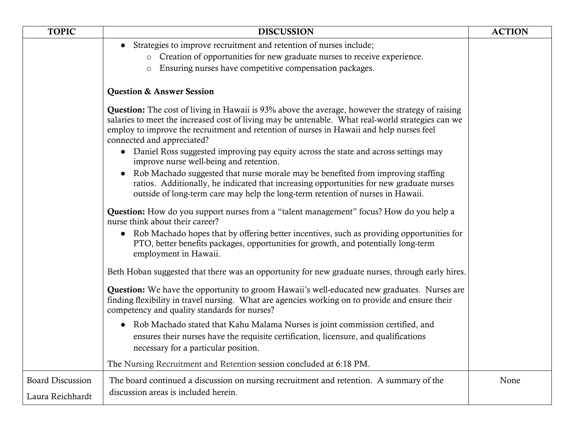| <b>TOPIC</b>                                | <b>DISCUSSION</b>                                                                                                                                                                                                                                                                                                                               | <b>ACTION</b> |
|---------------------------------------------|-------------------------------------------------------------------------------------------------------------------------------------------------------------------------------------------------------------------------------------------------------------------------------------------------------------------------------------------------|---------------|
|                                             | • Strategies to improve recruitment and retention of nurses include;                                                                                                                                                                                                                                                                            |               |
|                                             | o Creation of opportunities for new graduate nurses to receive experience.                                                                                                                                                                                                                                                                      |               |
|                                             | Ensuring nurses have competitive compensation packages.<br>$\circ$                                                                                                                                                                                                                                                                              |               |
|                                             | <b>Question &amp; Answer Session</b>                                                                                                                                                                                                                                                                                                            |               |
|                                             | <b>Question:</b> The cost of living in Hawaii is 93% above the average, however the strategy of raising<br>salaries to meet the increased cost of living may be untenable. What real-world strategies can we<br>employ to improve the recruitment and retention of nurses in Hawaii and help nurses feel<br>connected and appreciated?          |               |
|                                             | • Daniel Ross suggested improving pay equity across the state and across settings may<br>improve nurse well-being and retention.                                                                                                                                                                                                                |               |
|                                             | Rob Machado suggested that nurse morale may be benefited from improving staffing<br>ratios. Additionally, he indicated that increasing opportunities for new graduate nurses<br>outside of long-term care may help the long-term retention of nurses in Hawaii.                                                                                 |               |
|                                             | <b>Question:</b> How do you support nurses from a "talent management" focus? How do you help a<br>nurse think about their career?<br>• Rob Machado hopes that by offering better incentives, such as providing opportunities for<br>PTO, better benefits packages, opportunities for growth, and potentially long-term<br>employment in Hawaii. |               |
|                                             | Beth Hoban suggested that there was an opportunity for new graduate nurses, through early hires.                                                                                                                                                                                                                                                |               |
|                                             | <b>Question:</b> We have the opportunity to groom Hawaii's well-educated new graduates. Nurses are<br>finding flexibility in travel nursing. What are agencies working on to provide and ensure their<br>competency and quality standards for nurses?                                                                                           |               |
|                                             | • Rob Machado stated that Kahu Malama Nurses is joint commission certified, and<br>ensures their nurses have the requisite certification, licensure, and qualifications<br>necessary for a particular position.                                                                                                                                 |               |
|                                             | The Nursing Recruitment and Retention session concluded at 6:18 PM.                                                                                                                                                                                                                                                                             |               |
| <b>Board Discussion</b><br>Laura Reichhardt | The board continued a discussion on nursing recruitment and retention. A summary of the<br>discussion areas is included herein.                                                                                                                                                                                                                 | None          |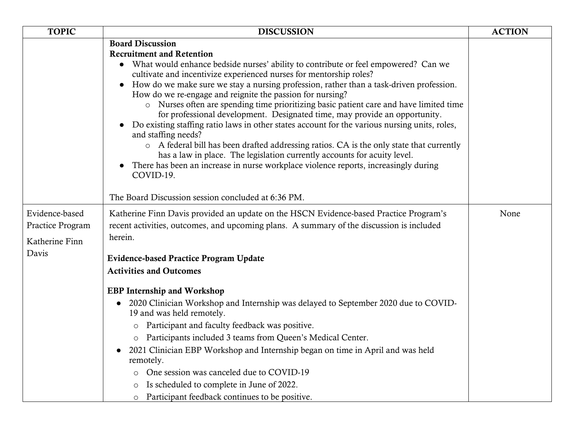| <b>TOPIC</b>                       | <b>DISCUSSION</b>                                                                                                                                                                                                                                                                                                                                                                                                                                                                                                                                                                                                                                                                                                                                                                                                                                                                                                                                                                                                   | <b>ACTION</b> |
|------------------------------------|---------------------------------------------------------------------------------------------------------------------------------------------------------------------------------------------------------------------------------------------------------------------------------------------------------------------------------------------------------------------------------------------------------------------------------------------------------------------------------------------------------------------------------------------------------------------------------------------------------------------------------------------------------------------------------------------------------------------------------------------------------------------------------------------------------------------------------------------------------------------------------------------------------------------------------------------------------------------------------------------------------------------|---------------|
|                                    | <b>Board Discussion</b><br><b>Recruitment and Retention</b><br>• What would enhance bedside nurses' ability to contribute or feel empowered? Can we<br>cultivate and incentivize experienced nurses for mentorship roles?<br>How do we make sure we stay a nursing profession, rather than a task-driven profession.<br>How do we re-engage and reignite the passion for nursing?<br>• Nurses often are spending time prioritizing basic patient care and have limited time<br>for professional development. Designated time, may provide an opportunity.<br>Do existing staffing ratio laws in other states account for the various nursing units, roles,<br>and staffing needs?<br>o A federal bill has been drafted addressing ratios. CA is the only state that currently<br>has a law in place. The legislation currently accounts for acuity level.<br>There has been an increase in nurse workplace violence reports, increasingly during<br>COVID-19.<br>The Board Discussion session concluded at 6:36 PM. |               |
|                                    |                                                                                                                                                                                                                                                                                                                                                                                                                                                                                                                                                                                                                                                                                                                                                                                                                                                                                                                                                                                                                     |               |
| Evidence-based<br>Practice Program | Katherine Finn Davis provided an update on the HSCN Evidence-based Practice Program's<br>recent activities, outcomes, and upcoming plans. A summary of the discussion is included                                                                                                                                                                                                                                                                                                                                                                                                                                                                                                                                                                                                                                                                                                                                                                                                                                   | None          |
| Katherine Finn                     | herein.                                                                                                                                                                                                                                                                                                                                                                                                                                                                                                                                                                                                                                                                                                                                                                                                                                                                                                                                                                                                             |               |
| Davis                              | <b>Evidence-based Practice Program Update</b><br><b>Activities and Outcomes</b>                                                                                                                                                                                                                                                                                                                                                                                                                                                                                                                                                                                                                                                                                                                                                                                                                                                                                                                                     |               |
|                                    |                                                                                                                                                                                                                                                                                                                                                                                                                                                                                                                                                                                                                                                                                                                                                                                                                                                                                                                                                                                                                     |               |
|                                    | <b>EBP</b> Internship and Workshop                                                                                                                                                                                                                                                                                                                                                                                                                                                                                                                                                                                                                                                                                                                                                                                                                                                                                                                                                                                  |               |
|                                    | 2020 Clinician Workshop and Internship was delayed to September 2020 due to COVID-<br>19 and was held remotely.                                                                                                                                                                                                                                                                                                                                                                                                                                                                                                                                                                                                                                                                                                                                                                                                                                                                                                     |               |
|                                    | Participant and faculty feedback was positive.<br>$\circ$                                                                                                                                                                                                                                                                                                                                                                                                                                                                                                                                                                                                                                                                                                                                                                                                                                                                                                                                                           |               |
|                                    | Participants included 3 teams from Queen's Medical Center.<br>$\circ$                                                                                                                                                                                                                                                                                                                                                                                                                                                                                                                                                                                                                                                                                                                                                                                                                                                                                                                                               |               |
|                                    | 2021 Clinician EBP Workshop and Internship began on time in April and was held<br>$\bullet$<br>remotely.                                                                                                                                                                                                                                                                                                                                                                                                                                                                                                                                                                                                                                                                                                                                                                                                                                                                                                            |               |
|                                    | One session was canceled due to COVID-19                                                                                                                                                                                                                                                                                                                                                                                                                                                                                                                                                                                                                                                                                                                                                                                                                                                                                                                                                                            |               |
|                                    | Is scheduled to complete in June of 2022.                                                                                                                                                                                                                                                                                                                                                                                                                                                                                                                                                                                                                                                                                                                                                                                                                                                                                                                                                                           |               |
|                                    | Participant feedback continues to be positive.<br>$\circ$                                                                                                                                                                                                                                                                                                                                                                                                                                                                                                                                                                                                                                                                                                                                                                                                                                                                                                                                                           |               |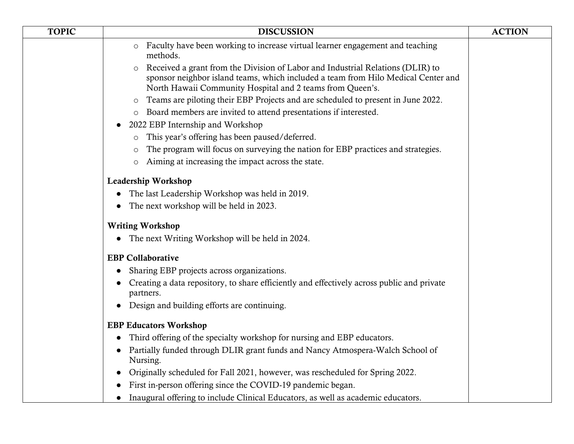| <b>TOPIC</b> | <b>DISCUSSION</b>                                                                                                                                                                                                                  | <b>ACTION</b> |
|--------------|------------------------------------------------------------------------------------------------------------------------------------------------------------------------------------------------------------------------------------|---------------|
|              | o Faculty have been working to increase virtual learner engagement and teaching<br>methods.                                                                                                                                        |               |
|              | o Received a grant from the Division of Labor and Industrial Relations (DLIR) to<br>sponsor neighbor island teams, which included a team from Hilo Medical Center and<br>North Hawaii Community Hospital and 2 teams from Queen's. |               |
|              | Teams are piloting their EBP Projects and are scheduled to present in June 2022.<br>$\circ$                                                                                                                                        |               |
|              | o Board members are invited to attend presentations if interested.                                                                                                                                                                 |               |
|              | 2022 EBP Internship and Workshop<br>$\bullet$                                                                                                                                                                                      |               |
|              | This year's offering has been paused/deferred.<br>$\circ$                                                                                                                                                                          |               |
|              | The program will focus on surveying the nation for EBP practices and strategies.<br>$\circ$                                                                                                                                        |               |
|              | o Aiming at increasing the impact across the state.                                                                                                                                                                                |               |
|              | Leadership Workshop                                                                                                                                                                                                                |               |
|              | The last Leadership Workshop was held in 2019.<br>$\bullet$                                                                                                                                                                        |               |
|              | The next workshop will be held in 2023.<br>$\bullet$                                                                                                                                                                               |               |
|              | <b>Writing Workshop</b>                                                                                                                                                                                                            |               |
|              | The next Writing Workshop will be held in 2024.                                                                                                                                                                                    |               |
|              | <b>EBP</b> Collaborative                                                                                                                                                                                                           |               |
|              | Sharing EBP projects across organizations.<br>$\bullet$                                                                                                                                                                            |               |
|              | Creating a data repository, to share efficiently and effectively across public and private<br>partners.                                                                                                                            |               |
|              | Design and building efforts are continuing.<br>$\bullet$                                                                                                                                                                           |               |
|              | <b>EBP Educators Workshop</b>                                                                                                                                                                                                      |               |
|              | Third offering of the specialty workshop for nursing and EBP educators.<br>$\bullet$                                                                                                                                               |               |
|              | Partially funded through DLIR grant funds and Nancy Atmospera-Walch School of<br>$\bullet$<br>Nursing.                                                                                                                             |               |
|              | Originally scheduled for Fall 2021, however, was rescheduled for Spring 2022.                                                                                                                                                      |               |
|              | First in-person offering since the COVID-19 pandemic began.                                                                                                                                                                        |               |
|              | Inaugural offering to include Clinical Educators, as well as academic educators.<br>$\bullet$                                                                                                                                      |               |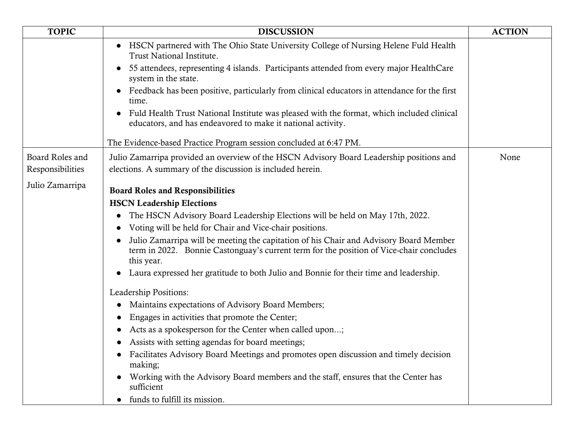| <b>TOPIC</b>                        | <b>DISCUSSION</b>                                                                                                                                                                              | <b>ACTION</b> |
|-------------------------------------|------------------------------------------------------------------------------------------------------------------------------------------------------------------------------------------------|---------------|
|                                     | HSCN partnered with The Ohio State University College of Nursing Helene Fuld Health<br>Trust National Institute.                                                                               |               |
|                                     | 55 attendees, representing 4 islands. Participants attended from every major HealthCare<br>system in the state.                                                                                |               |
|                                     | Feedback has been positive, particularly from clinical educators in attendance for the first<br>time.                                                                                          |               |
|                                     | Fuld Health Trust National Institute was pleased with the format, which included clinical<br>educators, and has endeavored to make it national activity.                                       |               |
|                                     | The Evidence-based Practice Program session concluded at 6:47 PM.                                                                                                                              |               |
| Board Roles and<br>Responsibilities | Julio Zamarripa provided an overview of the HSCN Advisory Board Leadership positions and<br>elections. A summary of the discussion is included herein.                                         | None          |
| Julio Zamarripa                     | <b>Board Roles and Responsibilities</b>                                                                                                                                                        |               |
|                                     | <b>HSCN Leadership Elections</b>                                                                                                                                                               |               |
|                                     | The HSCN Advisory Board Leadership Elections will be held on May 17th, 2022.                                                                                                                   |               |
|                                     | Voting will be held for Chair and Vice-chair positions.                                                                                                                                        |               |
|                                     | Julio Zamarripa will be meeting the capitation of his Chair and Advisory Board Member<br>term in 2022. Bonnie Castonguay's current term for the position of Vice-chair concludes<br>this year. |               |
|                                     | Laura expressed her gratitude to both Julio and Bonnie for their time and leadership.                                                                                                          |               |
|                                     | Leadership Positions:                                                                                                                                                                          |               |
|                                     | Maintains expectations of Advisory Board Members;                                                                                                                                              |               |
|                                     | Engages in activities that promote the Center;                                                                                                                                                 |               |
|                                     | Acts as a spokesperson for the Center when called upon;                                                                                                                                        |               |
|                                     | Assists with setting agendas for board meetings;                                                                                                                                               |               |
|                                     | Facilitates Advisory Board Meetings and promotes open discussion and timely decision<br>making;                                                                                                |               |
|                                     | Working with the Advisory Board members and the staff, ensures that the Center has<br>sufficient                                                                                               |               |
|                                     | funds to fulfill its mission.                                                                                                                                                                  |               |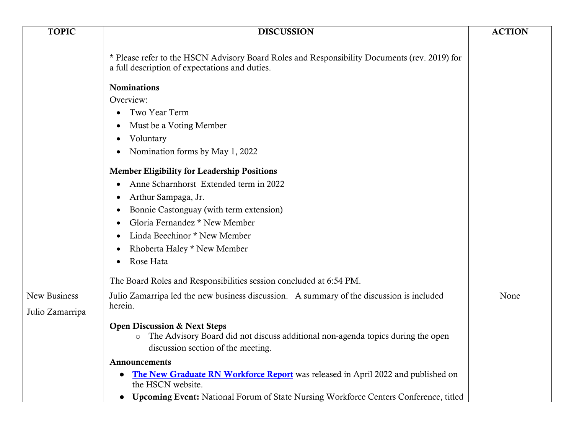| <b>TOPIC</b>    | <b>DISCUSSION</b>                                                                                                                                                  | <b>ACTION</b> |
|-----------------|--------------------------------------------------------------------------------------------------------------------------------------------------------------------|---------------|
|                 | * Please refer to the HSCN Advisory Board Roles and Responsibility Documents (rev. 2019) for<br>a full description of expectations and duties.                     |               |
|                 | <b>Nominations</b>                                                                                                                                                 |               |
|                 | Overview:                                                                                                                                                          |               |
|                 | Two Year Term                                                                                                                                                      |               |
|                 | Must be a Voting Member<br>٠                                                                                                                                       |               |
|                 | Voluntary<br>$\bullet$                                                                                                                                             |               |
|                 | Nomination forms by May 1, 2022<br>$\bullet$                                                                                                                       |               |
|                 | <b>Member Eligibility for Leadership Positions</b>                                                                                                                 |               |
|                 | Anne Scharnhorst Extended term in 2022<br>$\bullet$                                                                                                                |               |
|                 | Arthur Sampaga, Jr.<br>$\bullet$                                                                                                                                   |               |
|                 | Bonnie Castonguay (with term extension)<br>$\bullet$                                                                                                               |               |
|                 | Gloria Fernandez * New Member                                                                                                                                      |               |
|                 | Linda Beechinor * New Member<br>$\bullet$                                                                                                                          |               |
|                 | Rhoberta Haley * New Member<br>٠                                                                                                                                   |               |
|                 | Rose Hata<br>$\bullet$                                                                                                                                             |               |
|                 | The Board Roles and Responsibilities session concluded at 6:54 PM.                                                                                                 |               |
| New Business    | Julio Zamarripa led the new business discussion. A summary of the discussion is included                                                                           | None          |
| Julio Zamarripa | herein.                                                                                                                                                            |               |
|                 | <b>Open Discussion &amp; Next Steps</b><br>o The Advisory Board did not discuss additional non-agenda topics during the open<br>discussion section of the meeting. |               |
|                 | Announcements                                                                                                                                                      |               |
|                 | The New Graduate RN Workforce Report was released in April 2022 and published on<br>the HSCN website.                                                              |               |
|                 | • Upcoming Event: National Forum of State Nursing Workforce Centers Conference, titled                                                                             |               |